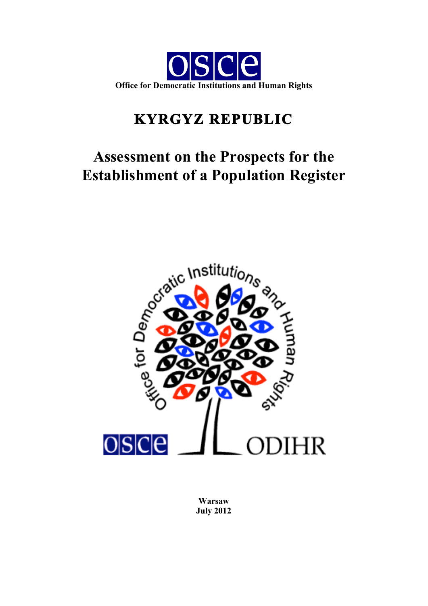

# **KYRGYZ REPUBLIC**

# **Assessment on the Prospects for the Establishment of a Population Register**



**Warsaw July 2012**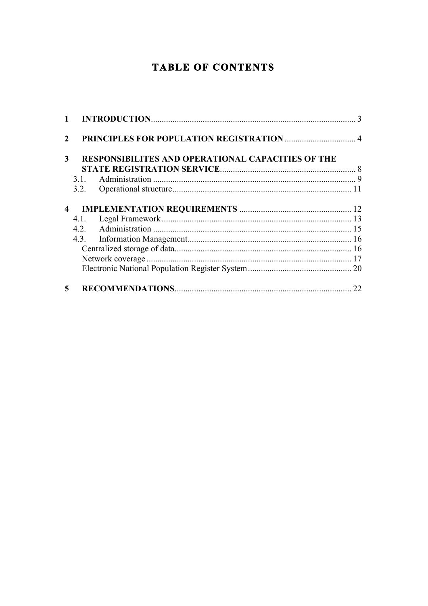## **TABLE OF CONTENTS**

| $\mathfrak{D}$          |                                                          |    |
|-------------------------|----------------------------------------------------------|----|
| 3                       | <b>RESPONSIBILITES AND OPERATIONAL CAPACITIES OF THE</b> |    |
|                         |                                                          |    |
|                         |                                                          |    |
|                         |                                                          |    |
| $\overline{\mathbf{4}}$ |                                                          |    |
|                         |                                                          |    |
|                         |                                                          |    |
|                         |                                                          |    |
|                         |                                                          |    |
|                         |                                                          |    |
|                         |                                                          |    |
| 5                       |                                                          | 22 |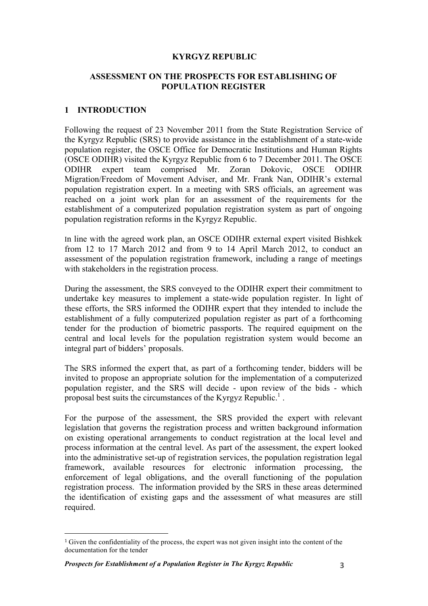#### **KYRGYZ REPUBLIC**

#### **ASSESSMENT ON THE PROSPECTS FOR ESTABLISHING OF POPULATION REGISTER**

#### **1 INTRODUCTION**

Following the request of 23 November 2011 from the State Registration Service of the Kyrgyz Republic (SRS) to provide assistance in the establishment of a state-wide population register, the OSCE Office for Democratic Institutions and Human Rights (OSCE ODIHR) visited the Kyrgyz Republic from 6 to 7 December 2011. The OSCE ODIHR expert team comprised Mr. Zoran Dokovic, OSCE ODIHR Migration/Freedom of Movement Adviser, and Mr. Frank Nan, ODIHR's external population registration expert. In a meeting with SRS officials, an agreement was reached on a joint work plan for an assessment of the requirements for the establishment of a computerized population registration system as part of ongoing population registration reforms in the Kyrgyz Republic.

In line with the agreed work plan, an OSCE ODIHR external expert visited Bishkek from 12 to 17 March 2012 and from 9 to 14 April March 2012, to conduct an assessment of the population registration framework, including a range of meetings with stakeholders in the registration process.

During the assessment, the SRS conveyed to the ODIHR expert their commitment to undertake key measures to implement a state-wide population register. In light of these efforts, the SRS informed the ODIHR expert that they intended to include the establishment of a fully computerized population register as part of a forthcoming tender for the production of biometric passports. The required equipment on the central and local levels for the population registration system would become an integral part of bidders' proposals.

The SRS informed the expert that, as part of a forthcoming tender, bidders will be invited to propose an appropriate solution for the implementation of a computerized population register, and the SRS will decide - upon review of the bids - which proposal best suits the circumstances of the Kyrgyz Republic.<sup>1</sup>.

For the purpose of the assessment, the SRS provided the expert with relevant legislation that governs the registration process and written background information on existing operational arrangements to conduct registration at the local level and process information at the central level. As part of the assessment, the expert looked into the administrative set-up of registration services, the population registration legal framework, available resources for electronic information processing, the enforcement of legal obligations, and the overall functioning of the population registration process. The information provided by the SRS in these areas determined the identification of existing gaps and the assessment of what measures are still required.

 

<sup>1</sup> Given the confidentiality of the process, the expert was not given insight into the content of the documentation for the tender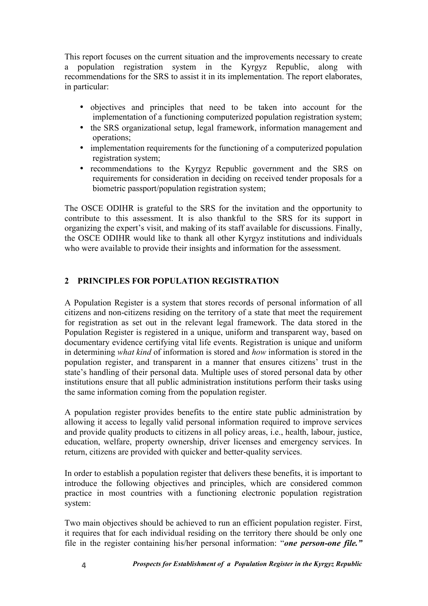This report focuses on the current situation and the improvements necessary to create a population registration system in the Kyrgyz Republic, along with recommendations for the SRS to assist it in its implementation. The report elaborates, in particular:

- objectives and principles that need to be taken into account for the implementation of a functioning computerized population registration system;
- the SRS organizational setup, legal framework, information management and operations;
- implementation requirements for the functioning of a computerized population registration system;
- recommendations to the Kyrgyz Republic government and the SRS on requirements for consideration in deciding on received tender proposals for a biometric passport/population registration system;

The OSCE ODIHR is grateful to the SRS for the invitation and the opportunity to contribute to this assessment. It is also thankful to the SRS for its support in organizing the expert's visit, and making of its staff available for discussions. Finally, the OSCE ODIHR would like to thank all other Kyrgyz institutions and individuals who were available to provide their insights and information for the assessment.

## **2 PRINCIPLES FOR POPULATION REGISTRATION**

A Population Register is a system that stores records of personal information of all citizens and non-citizens residing on the territory of a state that meet the requirement for registration as set out in the relevant legal framework. The data stored in the Population Register is registered in a unique, uniform and transparent way, based on documentary evidence certifying vital life events. Registration is unique and uniform in determining *what kind* of information is stored and *how* information is stored in the population register, and transparent in a manner that ensures citizens' trust in the state's handling of their personal data. Multiple uses of stored personal data by other institutions ensure that all public administration institutions perform their tasks using the same information coming from the population register.

A population register provides benefits to the entire state public administration by allowing it access to legally valid personal information required to improve services and provide quality products to citizens in all policy areas, i.e., health, labour, justice, education, welfare, property ownership, driver licenses and emergency services. In return, citizens are provided with quicker and better-quality services.

In order to establish a population register that delivers these benefits, it is important to introduce the following objectives and principles, which are considered common practice in most countries with a functioning electronic population registration system:

Two main objectives should be achieved to run an efficient population register. First, it requires that for each individual residing on the territory there should be only one file in the register containing his/her personal information: "*one person-one file."*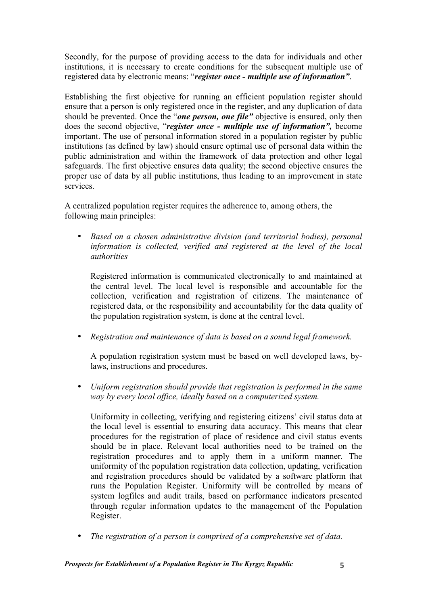Secondly, for the purpose of providing access to the data for individuals and other institutions, it is necessary to create conditions for the subsequent multiple use of registered data by electronic means: "*register once - multiple use of information"*.

Establishing the first objective for running an efficient population register should ensure that a person is only registered once in the register, and any duplication of data should be prevented. Once the "*one person, one file"* objective is ensured, only then does the second objective, "*register once - multiple use of information",* become important. The use of personal information stored in a population register by public institutions (as defined by law) should ensure optimal use of personal data within the public administration and within the framework of data protection and other legal safeguards. The first objective ensures data quality; the second objective ensures the proper use of data by all public institutions, thus leading to an improvement in state services.

A centralized population register requires the adherence to, among others, the following main principles:

• *Based on a chosen administrative division (and territorial bodies), personal information is collected, verified and registered at the level of the local authorities*

Registered information is communicated electronically to and maintained at the central level. The local level is responsible and accountable for the collection, verification and registration of citizens. The maintenance of registered data, or the responsibility and accountability for the data quality of the population registration system, is done at the central level.

• *Registration and maintenance of data is based on a sound legal framework.*

A population registration system must be based on well developed laws, bylaws, instructions and procedures.

• *Uniform registration should provide that registration is performed in the same way by every local office, ideally based on a computerized system.*

Uniformity in collecting, verifying and registering citizens' civil status data at the local level is essential to ensuring data accuracy. This means that clear procedures for the registration of place of residence and civil status events should be in place. Relevant local authorities need to be trained on the registration procedures and to apply them in a uniform manner. The uniformity of the population registration data collection, updating, verification and registration procedures should be validated by a software platform that runs the Population Register. Uniformity will be controlled by means of system logfiles and audit trails, based on performance indicators presented through regular information updates to the management of the Population Register.

• *The registration of a person is comprised of a comprehensive set of data.*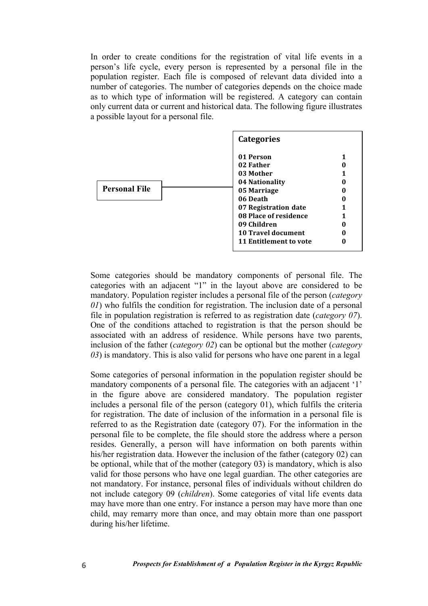In order to create conditions for the registration of vital life events in a person's life cycle, every person is represented by a personal file in the population register. Each file is composed of relevant data divided into a number of categories. The number of categories depends on the choice made as to which type of information will be registered. A category can contain only current data or current and historical data. The following figure illustrates a possible layout for a personal file.

|                      | <b>Categories</b>                                                                                                                                                                                       |  |
|----------------------|---------------------------------------------------------------------------------------------------------------------------------------------------------------------------------------------------------|--|
| <b>Personal File</b> | 01 Person<br>02 Father<br>03 Mother<br>04 Nationality<br>05 Marriage<br>06 Death<br>07 Registration date<br>08 Place of residence<br>09 Children<br><b>10 Travel document</b><br>11 Entitlement to vote |  |

Some categories should be mandatory components of personal file. The categories with an adjacent "1" in the layout above are considered to be mandatory. Population register includes a personal file of the person (*category 01*) who fulfils the condition for registration. The inclusion date of a personal file in population registration is referred to as registration date (*category 07*). One of the conditions attached to registration is that the person should be associated with an address of residence. While persons have two parents, inclusion of the father (*category 02*) can be optional but the mother (*category 03*) is mandatory. This is also valid for persons who have one parent in a legal

Some categories of personal information in the population register should be mandatory components of a personal file. The categories with an adjacent '1' in the figure above are considered mandatory. The population register includes a personal file of the person (category 01), which fulfils the criteria for registration. The date of inclusion of the information in a personal file is referred to as the Registration date (category 07). For the information in the personal file to be complete, the file should store the address where a person resides. Generally, a person will have information on both parents within his/her registration data. However the inclusion of the father (category 02) can be optional, while that of the mother (category 03) is mandatory, which is also valid for those persons who have one legal guardian. The other categories are not mandatory. For instance, personal files of individuals without children do not include category 09 (*children*). Some categories of vital life events data may have more than one entry. For instance a person may have more than one child, may remarry more than once, and may obtain more than one passport during his/her lifetime.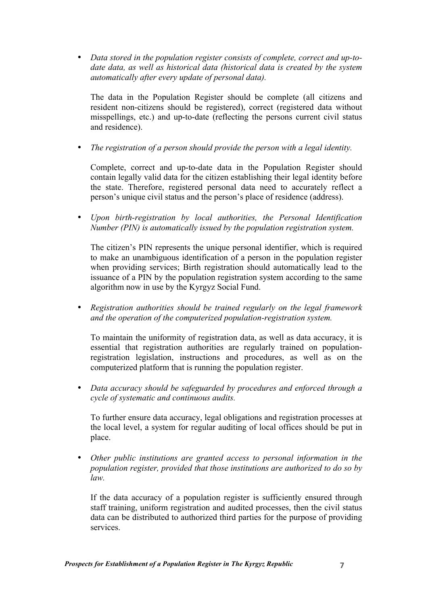• *Data stored in the population register consists of complete, correct and up-todate data, as well as historical data (historical data is created by the system automatically after every update of personal data).*

The data in the Population Register should be complete (all citizens and resident non-citizens should be registered), correct (registered data without misspellings, etc.) and up-to-date (reflecting the persons current civil status and residence).

• *The registration of a person should provide the person with a legal identity.*

Complete, correct and up-to-date data in the Population Register should contain legally valid data for the citizen establishing their legal identity before the state. Therefore, registered personal data need to accurately reflect a person's unique civil status and the person's place of residence (address).

• *Upon birth-registration by local authorities, the Personal Identification Number (PIN) is automatically issued by the population registration system.*

The citizen's PIN represents the unique personal identifier, which is required to make an unambiguous identification of a person in the population register when providing services; Birth registration should automatically lead to the issuance of a PIN by the population registration system according to the same algorithm now in use by the Kyrgyz Social Fund.

• *Registration authorities should be trained regularly on the legal framework and the operation of the computerized population-registration system.* 

To maintain the uniformity of registration data, as well as data accuracy, it is essential that registration authorities are regularly trained on populationregistration legislation, instructions and procedures, as well as on the computerized platform that is running the population register.

• *Data accuracy should be safeguarded by procedures and enforced through a cycle of systematic and continuous audits.*

To further ensure data accuracy, legal obligations and registration processes at the local level, a system for regular auditing of local offices should be put in place.

• *Other public institutions are granted access to personal information in the population register, provided that those institutions are authorized to do so by law.*

If the data accuracy of a population register is sufficiently ensured through staff training, uniform registration and audited processes, then the civil status data can be distributed to authorized third parties for the purpose of providing services.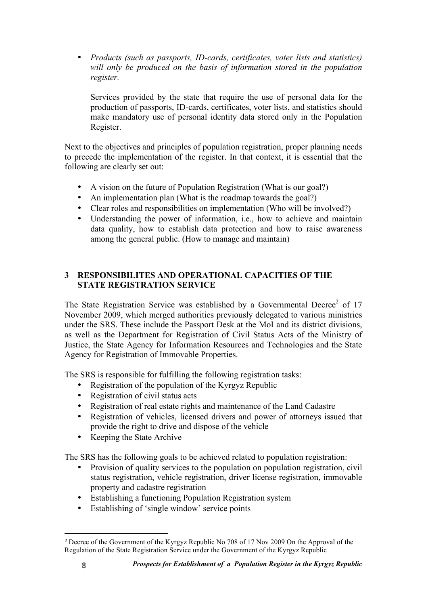• *Products (such as passports, ID-cards, certificates, voter lists and statistics) will only be produced on the basis of information stored in the population register.*

Services provided by the state that require the use of personal data for the production of passports, ID-cards, certificates, voter lists, and statistics should make mandatory use of personal identity data stored only in the Population Register.

Next to the objectives and principles of population registration, proper planning needs to precede the implementation of the register. In that context, it is essential that the following are clearly set out:

- A vision on the future of Population Registration (What is our goal?)
- An implementation plan (What is the roadmap towards the goal?)
- Clear roles and responsibilities on implementation (Who will be involved?)<br>• Understanding the nower of information i.e. how to achieve and maintain-
- Understanding the power of information, i.e., how to achieve and maintain data quality, how to establish data protection and how to raise awareness among the general public. (How to manage and maintain)

#### **3 RESPONSIBILITES AND OPERATIONAL CAPACITIES OF THE STATE REGISTRATION SERVICE**

The State Registration Service was established by a Governmental Decree<sup>2</sup> of 17 November 2009, which merged authorities previously delegated to various ministries under the SRS. These include the Passport Desk at the MoI and its district divisions, as well as the Department for Registration of Civil Status Acts of the Ministry of Justice, the State Agency for Information Resources and Technologies and the State Agency for Registration of Immovable Properties.

The SRS is responsible for fulfilling the following registration tasks:

- Registration of the population of the Kyrgyz Republic
- Registration of civil status acts
- Registration of real estate rights and maintenance of the Land Cadastre<br>• Registration of vehicles licensed drivers and nower of attorneys issue
- Registration of vehicles, licensed drivers and power of attorneys issued that provide the right to drive and dispose of the vehicle
- Keeping the State Archive

 

The SRS has the following goals to be achieved related to population registration:

- Provision of quality services to the population on population registration, civil status registration, vehicle registration, driver license registration, immovable property and cadastre registration
- Establishing a functioning Population Registration system
- Establishing of 'single window' service points

<sup>2</sup> Decree of the Government of the Kyrgyz Republic No 708 of 17 Nov 2009 On the Approval of the Regulation of the State Registration Service under the Government of the Kyrgyz Republic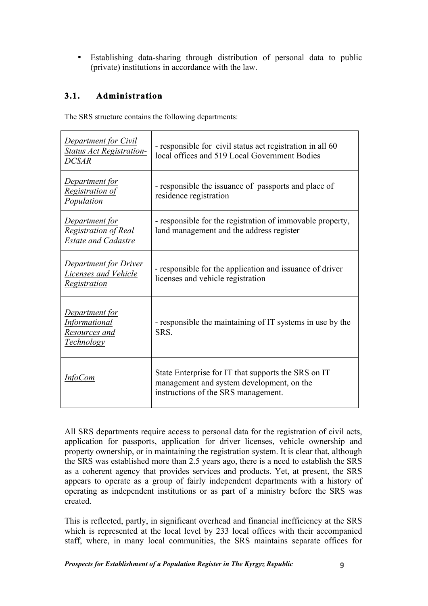• Establishing data-sharing through distribution of personal data to public (private) institutions in accordance with the law.

## **3.1. Administration**

The SRS structure contains the following departments:

| <b>Department for Civil</b><br><b>Status Act Registration-</b><br>DCSAR | - responsible for civil status act registration in all 60<br>local offices and 519 Local Government Bodies                              |
|-------------------------------------------------------------------------|-----------------------------------------------------------------------------------------------------------------------------------------|
| Department for<br><b>Registration of</b><br>Population                  | - responsible the issuance of passports and place of<br>residence registration                                                          |
| Department for<br>Registration of Real<br><b>Estate and Cadastre</b>    | - responsible for the registration of immovable property,<br>land management and the address register                                   |
| <b>Department for Driver</b><br>Licenses and Vehicle<br>Registration    | - responsible for the application and issuance of driver<br>licenses and vehicle registration                                           |
| Department for<br><b>Informational</b><br>Resources and<br>Technology   | - responsible the maintaining of IT systems in use by the<br>SRS.                                                                       |
| <i>InfoCom</i>                                                          | State Enterprise for IT that supports the SRS on IT<br>management and system development, on the<br>instructions of the SRS management. |

All SRS departments require access to personal data for the registration of civil acts, application for passports, application for driver licenses, vehicle ownership and property ownership, or in maintaining the registration system. It is clear that, although the SRS was established more than 2.5 years ago, there is a need to establish the SRS as a coherent agency that provides services and products. Yet, at present, the SRS appears to operate as a group of fairly independent departments with a history of operating as independent institutions or as part of a ministry before the SRS was created.

This is reflected, partly, in significant overhead and financial inefficiency at the SRS which is represented at the local level by 233 local offices with their accompanied staff, where, in many local communities, the SRS maintains separate offices for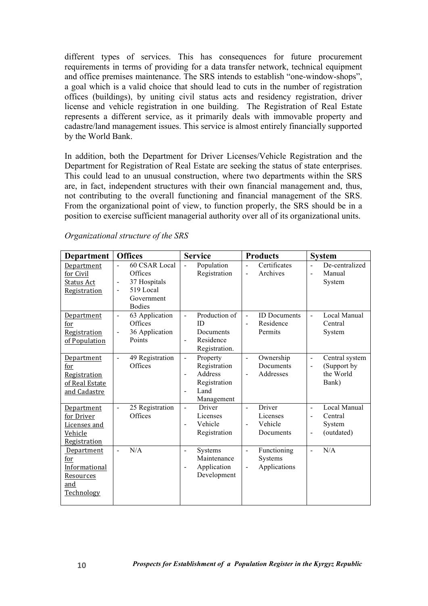different types of services. This has consequences for future procurement requirements in terms of providing for a data transfer network, technical equipment and office premises maintenance. The SRS intends to establish "one-window-shops", a goal which is a valid choice that should lead to cuts in the number of registration offices (buildings), by uniting civil status acts and residency registration, driver license and vehicle registration in one building. The Registration of Real Estate represents a different service, as it primarily deals with immovable property and cadastre/land management issues. This service is almost entirely financially supported by the World Bank.

In addition, both the Department for Driver Licenses/Vehicle Registration and the Department for Registration of Real Estate are seeking the status of state enterprises. This could lead to an unusual construction, where two departments within the SRS are, in fact, independent structures with their own financial management and, thus, not contributing to the overall functioning and financial management of the SRS. From the organizational point of view, to function properly, the SRS should be in a position to exercise sufficient managerial authority over all of its organizational units.

| <b>Department</b>                                                    | <b>Offices</b>                                                                                                           | <b>Service</b>                                                                                                                 | <b>Products</b>                                                                | <b>System</b>                                                                                         |
|----------------------------------------------------------------------|--------------------------------------------------------------------------------------------------------------------------|--------------------------------------------------------------------------------------------------------------------------------|--------------------------------------------------------------------------------|-------------------------------------------------------------------------------------------------------|
| Department<br>for Civil<br>Status Act<br>Registration                | 60 CSAR Local<br>Offices<br>37 Hospitals<br>$\blacksquare$<br>519 Local<br>$\blacksquare$<br>Government<br><b>Bodies</b> | Population<br>$\blacksquare$<br>Registration                                                                                   | Certificates<br>L.<br>Archives<br>$\blacksquare$                               | De-centralized<br>$\overline{a}$<br>Manual<br>L,<br>System                                            |
| Department<br>for<br>Registration<br>of Population                   | 63 Application<br>$\blacksquare$<br>Offices<br>36 Application<br>Points                                                  | Production of<br>$\blacksquare$<br><b>ID</b><br>Documents<br>Residence<br>$\blacksquare$<br>Registration.                      | <b>ID</b> Documents<br>ä,<br>Residence<br>$\blacksquare$<br>Permits            | Local Manual<br>L,<br>Central<br>System                                                               |
| Department<br>for<br>Registration<br>of Real Estate<br>and Cadastre  | 49 Registration<br>$\bar{a}$<br>Offices                                                                                  | Property<br>$\frac{1}{2}$<br>Registration<br>Address<br>$\blacksquare$<br>Registration<br>Land<br>$\blacksquare$<br>Management | Ownership<br>$\blacksquare$<br>Documents<br>Addresses<br>$\blacksquare$        | Central system<br>$\blacksquare$<br>(Support by<br>$\blacksquare$<br>the World<br>Bank)               |
| Department<br>for Driver<br>Licenses and<br>Vehicle<br>Registration  | 25 Registration<br>$\sim$<br>Offices                                                                                     | Driver<br>$\blacksquare$<br>Licenses<br>Vehicle<br>$\blacksquare$<br>Registration                                              | Driver<br>$\blacksquare$<br>Licenses<br>Vehicle<br>$\blacksquare$<br>Documents | Local Manual<br>$\blacksquare$<br>Central<br>$\blacksquare$<br>System<br>(outdated)<br>$\blacksquare$ |
| Department<br>for<br>Informational<br>Resources<br>and<br>Technology | N/A<br>$\mathbf{r}$                                                                                                      | <b>Systems</b><br>$\blacksquare$<br>Maintenance<br>Application<br>$\blacksquare$<br>Development                                | Functioning<br>$\blacksquare$<br>Systems<br>Applications                       | N/A<br>L,                                                                                             |

*Organizational structure of the SRS*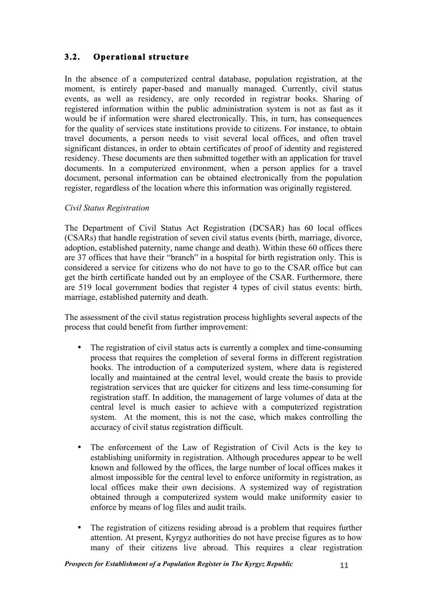## **3.2. Operational structure**

In the absence of a computerized central database, population registration, at the moment, is entirely paper-based and manually managed. Currently, civil status events, as well as residency, are only recorded in registrar books. Sharing of registered information within the public administration system is not as fast as it would be if information were shared electronically. This, in turn, has consequences for the quality of services state institutions provide to citizens. For instance, to obtain travel documents, a person needs to visit several local offices, and often travel significant distances, in order to obtain certificates of proof of identity and registered residency. These documents are then submitted together with an application for travel documents. In a computerized environment, when a person applies for a travel document, personal information can be obtained electronically from the population register, regardless of the location where this information was originally registered.

#### *Civil Status Registration*

The Department of Civil Status Act Registration (DCSAR) has 60 local offices (CSARs) that handle registration of seven civil status events (birth, marriage, divorce, adoption, established paternity, name change and death). Within these 60 offices there are 37 offices that have their "branch" in a hospital for birth registration only. This is considered a service for citizens who do not have to go to the CSAR office but can get the birth certificate handed out by an employee of the CSAR. Furthermore, there are 519 local government bodies that register 4 types of civil status events: birth, marriage, established paternity and death.

The assessment of the civil status registration process highlights several aspects of the process that could benefit from further improvement:

- The registration of civil status acts is currently a complex and time-consuming process that requires the completion of several forms in different registration books. The introduction of a computerized system, where data is registered locally and maintained at the central level, would create the basis to provide registration services that are quicker for citizens and less time-consuming for registration staff. In addition, the management of large volumes of data at the central level is much easier to achieve with a computerized registration system. At the moment, this is not the case, which makes controlling the accuracy of civil status registration difficult.
- The enforcement of the Law of Registration of Civil Acts is the key to establishing uniformity in registration. Although procedures appear to be well known and followed by the offices, the large number of local offices makes it almost impossible for the central level to enforce uniformity in registration, as local offices make their own decisions. A systemized way of registration obtained through a computerized system would make uniformity easier to enforce by means of log files and audit trails.
- The registration of citizens residing abroad is a problem that requires further attention. At present, Kyrgyz authorities do not have precise figures as to how many of their citizens live abroad. This requires a clear registration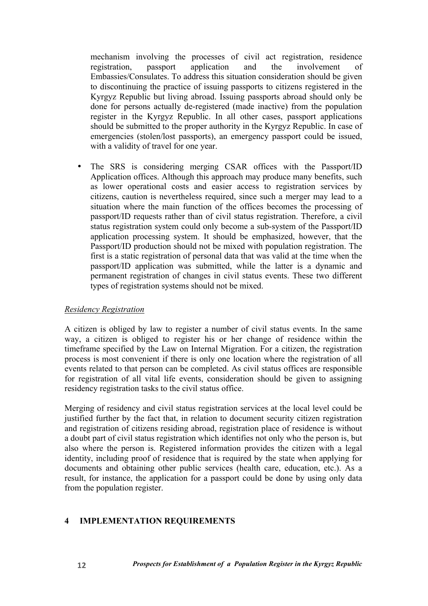mechanism involving the processes of civil act registration, residence registration, passport application and the involvement of Embassies/Consulates. To address this situation consideration should be given to discontinuing the practice of issuing passports to citizens registered in the Kyrgyz Republic but living abroad. Issuing passports abroad should only be done for persons actually de-registered (made inactive) from the population register in the Kyrgyz Republic. In all other cases, passport applications should be submitted to the proper authority in the Kyrgyz Republic. In case of emergencies (stolen/lost passports), an emergency passport could be issued, with a validity of travel for one year.

• The SRS is considering merging CSAR offices with the Passport/ID Application offices. Although this approach may produce many benefits, such as lower operational costs and easier access to registration services by citizens, caution is nevertheless required, since such a merger may lead to a situation where the main function of the offices becomes the processing of passport/ID requests rather than of civil status registration. Therefore, a civil status registration system could only become a sub-system of the Passport/ID application processing system. It should be emphasized, however, that the Passport/ID production should not be mixed with population registration. The first is a static registration of personal data that was valid at the time when the passport/ID application was submitted, while the latter is a dynamic and permanent registration of changes in civil status events. These two different types of registration systems should not be mixed.

#### *Residency Registration*

A citizen is obliged by law to register a number of civil status events. In the same way, a citizen is obliged to register his or her change of residence within the timeframe specified by the Law on Internal Migration. For a citizen, the registration process is most convenient if there is only one location where the registration of all events related to that person can be completed. As civil status offices are responsible for registration of all vital life events, consideration should be given to assigning residency registration tasks to the civil status office.

Merging of residency and civil status registration services at the local level could be justified further by the fact that, in relation to document security citizen registration and registration of citizens residing abroad, registration place of residence is without a doubt part of civil status registration which identifies not only who the person is, but also where the person is. Registered information provides the citizen with a legal identity, including proof of residence that is required by the state when applying for documents and obtaining other public services (health care, education, etc.). As a result, for instance, the application for a passport could be done by using only data from the population register.

## **4 IMPLEMENTATION REQUIREMENTS**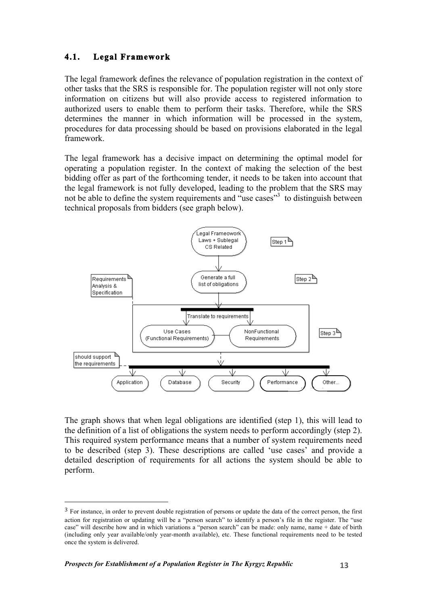## **4.1. Legal Framework**

The legal framework defines the relevance of population registration in the context of other tasks that the SRS is responsible for. The population register will not only store information on citizens but will also provide access to registered information to authorized users to enable them to perform their tasks. Therefore, while the SRS determines the manner in which information will be processed in the system, procedures for data processing should be based on provisions elaborated in the legal framework.

The legal framework has a decisive impact on determining the optimal model for operating a population register. In the context of making the selection of the best bidding offer as part of the forthcoming tender, it needs to be taken into account that the legal framework is not fully developed, leading to the problem that the SRS may not be able to define the system requirements and "use cases"<sup>3</sup> to distinguish between technical proposals from bidders (see graph below).



The graph shows that when legal obligations are identified (step 1), this will lead to the definition of a list of obligations the system needs to perform accordingly (step 2). This required system performance means that a number of system requirements need to be described (step 3). These descriptions are called 'use cases' and provide a detailed description of requirements for all actions the system should be able to perform.

 

<sup>&</sup>lt;sup>3</sup> For instance, in order to prevent double registration of persons or update the data of the correct person, the first action for registration or updating will be a "person search" to identify a person's file in the register. The "use case" will describe how and in which variations a "person search" can be made: only name, name + date of birth (including only year available/only year-month available), etc. These functional requirements need to be tested once the system is delivered.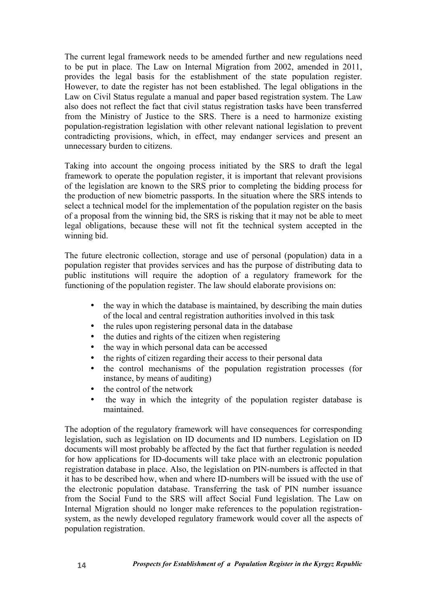The current legal framework needs to be amended further and new regulations need to be put in place. The Law on Internal Migration from 2002, amended in 2011, provides the legal basis for the establishment of the state population register. However, to date the register has not been established. The legal obligations in the Law on Civil Status regulate a manual and paper based registration system. The Law also does not reflect the fact that civil status registration tasks have been transferred from the Ministry of Justice to the SRS. There is a need to harmonize existing population-registration legislation with other relevant national legislation to prevent contradicting provisions, which, in effect, may endanger services and present an unnecessary burden to citizens.

Taking into account the ongoing process initiated by the SRS to draft the legal framework to operate the population register, it is important that relevant provisions of the legislation are known to the SRS prior to completing the bidding process for the production of new biometric passports. In the situation where the SRS intends to select a technical model for the implementation of the population register on the basis of a proposal from the winning bid, the SRS is risking that it may not be able to meet legal obligations, because these will not fit the technical system accepted in the winning bid.

The future electronic collection, storage and use of personal (population) data in a population register that provides services and has the purpose of distributing data to public institutions will require the adoption of a regulatory framework for the functioning of the population register. The law should elaborate provisions on:

- the way in which the database is maintained, by describing the main duties of the local and central registration authorities involved in this task
- the rules upon registering personal data in the database
- the duties and rights of the citizen when registering
- the way in which personal data can be accessed
- the rights of citizen regarding their access to their personal data
- the control mechanisms of the population registration processes (for instance, by means of auditing)
- the control of the network
- the way in which the integrity of the population register database is maintained.

The adoption of the regulatory framework will have consequences for corresponding legislation, such as legislation on ID documents and ID numbers. Legislation on ID documents will most probably be affected by the fact that further regulation is needed for how applications for ID-documents will take place with an electronic population registration database in place. Also, the legislation on PIN-numbers is affected in that it has to be described how, when and where ID-numbers will be issued with the use of the electronic population database. Transferring the task of PIN number issuance from the Social Fund to the SRS will affect Social Fund legislation. The Law on Internal Migration should no longer make references to the population registrationsystem, as the newly developed regulatory framework would cover all the aspects of population registration.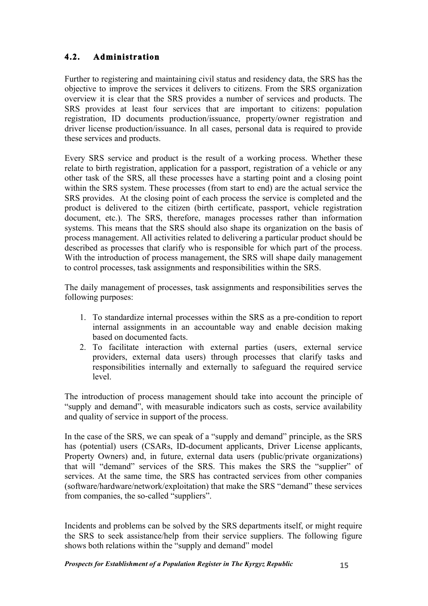## **4.2. Administration**

Further to registering and maintaining civil status and residency data, the SRS has the objective to improve the services it delivers to citizens. From the SRS organization overview it is clear that the SRS provides a number of services and products. The SRS provides at least four services that are important to citizens: population registration, ID documents production/issuance, property/owner registration and driver license production/issuance. In all cases, personal data is required to provide these services and products.

Every SRS service and product is the result of a working process. Whether these relate to birth registration, application for a passport, registration of a vehicle or any other task of the SRS, all these processes have a starting point and a closing point within the SRS system. These processes (from start to end) are the actual service the SRS provides. At the closing point of each process the service is completed and the product is delivered to the citizen (birth certificate, passport, vehicle registration document, etc.). The SRS, therefore, manages processes rather than information systems. This means that the SRS should also shape its organization on the basis of process management. All activities related to delivering a particular product should be described as processes that clarify who is responsible for which part of the process. With the introduction of process management, the SRS will shape daily management to control processes, task assignments and responsibilities within the SRS.

The daily management of processes, task assignments and responsibilities serves the following purposes:

- 1. To standardize internal processes within the SRS as a pre-condition to report internal assignments in an accountable way and enable decision making based on documented facts.
- 2. To facilitate interaction with external parties (users, external service providers, external data users) through processes that clarify tasks and responsibilities internally and externally to safeguard the required service level.

The introduction of process management should take into account the principle of "supply and demand", with measurable indicators such as costs, service availability and quality of service in support of the process.

In the case of the SRS, we can speak of a "supply and demand" principle, as the SRS has (potential) users (CSARs, ID-document applicants, Driver License applicants, Property Owners) and, in future, external data users (public/private organizations) that will "demand" services of the SRS. This makes the SRS the "supplier" of services. At the same time, the SRS has contracted services from other companies (software/hardware/network/exploitation) that make the SRS "demand" these services from companies, the so-called "suppliers".

Incidents and problems can be solved by the SRS departments itself, or might require the SRS to seek assistance/help from their service suppliers. The following figure shows both relations within the "supply and demand" model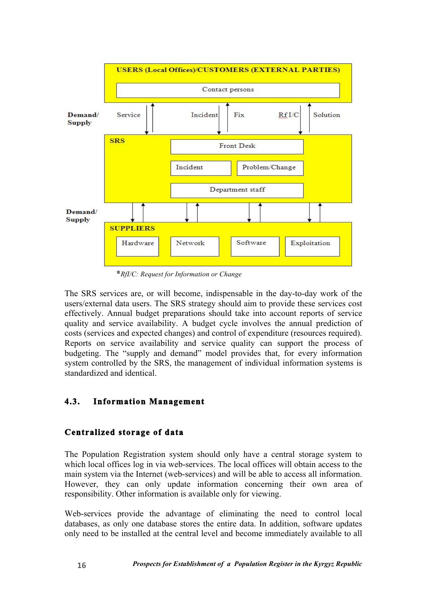

**\****RfI/C: Request for Information or Change*

The SRS services are, or will become, indispensable in the day-to-day work of the users/external data users. The SRS strategy should aim to provide these services cost effectively. Annual budget preparations should take into account reports of service quality and service availability. A budget cycle involves the annual prediction of costs (services and expected changes) and control of expenditure (resources required). Reports on service availability and service quality can support the process of budgeting. The "supply and demand" model provides that, for every information system controlled by the SRS, the management of individual information systems is standardized and identical.

## **4.3. Information Management**

## **Centralized storage of data**

The Population Registration system should only have a central storage system to which local offices log in via web-services. The local offices will obtain access to the main system via the Internet (web-services) and will be able to access all information. However, they can only update information concerning their own area of responsibility. Other information is available only for viewing.

Web-services provide the advantage of eliminating the need to control local databases, as only one database stores the entire data. In addition, software updates only need to be installed at the central level and become immediately available to all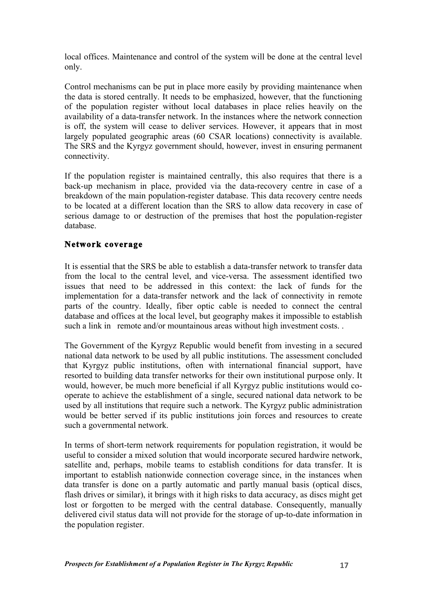local offices. Maintenance and control of the system will be done at the central level only.

Control mechanisms can be put in place more easily by providing maintenance when the data is stored centrally. It needs to be emphasized, however, that the functioning of the population register without local databases in place relies heavily on the availability of a data-transfer network. In the instances where the network connection is off, the system will cease to deliver services. However, it appears that in most largely populated geographic areas (60 CSAR locations) connectivity is available. The SRS and the Kyrgyz government should, however, invest in ensuring permanent connectivity.

If the population register is maintained centrally, this also requires that there is a back-up mechanism in place, provided via the data-recovery centre in case of a breakdown of the main population-register database. This data recovery centre needs to be located at a different location than the SRS to allow data recovery in case of serious damage to or destruction of the premises that host the population-register database.

#### **Network coverage**

It is essential that the SRS be able to establish a data-transfer network to transfer data from the local to the central level, and vice-versa. The assessment identified two issues that need to be addressed in this context: the lack of funds for the implementation for a data-transfer network and the lack of connectivity in remote parts of the country. Ideally, fiber optic cable is needed to connect the central database and offices at the local level, but geography makes it impossible to establish such a link in remote and/or mountainous areas without high investment costs. .

The Government of the Kyrgyz Republic would benefit from investing in a secured national data network to be used by all public institutions. The assessment concluded that Kyrgyz public institutions, often with international financial support, have resorted to building data transfer networks for their own institutional purpose only. It would, however, be much more beneficial if all Kyrgyz public institutions would cooperate to achieve the establishment of a single, secured national data network to be used by all institutions that require such a network. The Kyrgyz public administration would be better served if its public institutions join forces and resources to create such a governmental network.

In terms of short-term network requirements for population registration, it would be useful to consider a mixed solution that would incorporate secured hardwire network, satellite and, perhaps, mobile teams to establish conditions for data transfer. It is important to establish nationwide connection coverage since, in the instances when data transfer is done on a partly automatic and partly manual basis (optical discs, flash drives or similar), it brings with it high risks to data accuracy, as discs might get lost or forgotten to be merged with the central database. Consequently, manually delivered civil status data will not provide for the storage of up-to-date information in the population register.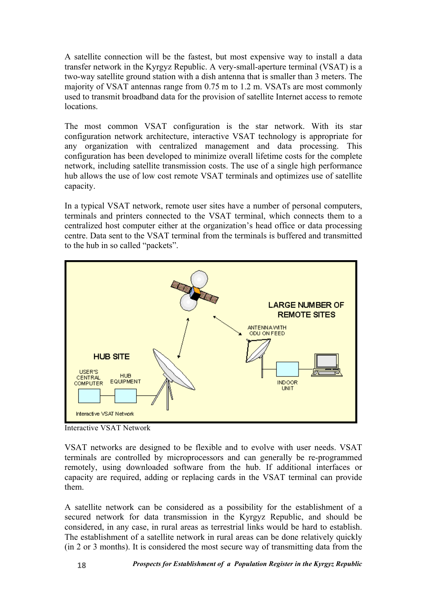A satellite connection will be the fastest, but most expensive way to install a data transfer network in the Kyrgyz Republic. A very-small-aperture terminal (VSAT) is a two-way satellite ground station with a dish antenna that is smaller than 3 meters. The majority of VSAT antennas range from 0.75 m to 1.2 m. VSATs are most commonly used to transmit broadband data for the provision of satellite Internet access to remote **locations** 

The most common VSAT configuration is the star network. With its star configuration network architecture, interactive VSAT technology is appropriate for any organization with centralized management and data processing. This configuration has been developed to minimize overall lifetime costs for the complete network, including satellite transmission costs. The use of a single high performance hub allows the use of low cost remote VSAT terminals and optimizes use of satellite capacity.

In a typical VSAT network, remote user sites have a number of personal computers, terminals and printers connected to the VSAT terminal, which connects them to a centralized host computer either at the organization's head office or data processing centre. Data sent to the VSAT terminal from the terminals is buffered and transmitted to the hub in so called "packets".



Interactive VSAT Network

VSAT networks are designed to be flexible and to evolve with user needs. VSAT terminals are controlled by microprocessors and can generally be re-programmed remotely, using downloaded software from the hub. If additional interfaces or capacity are required, adding or replacing cards in the VSAT terminal can provide them.

A satellite network can be considered as a possibility for the establishment of a secured network for data transmission in the Kyrgyz Republic, and should be considered, in any case, in rural areas as terrestrial links would be hard to establish. The establishment of a satellite network in rural areas can be done relatively quickly (in 2 or 3 months). It is considered the most secure way of transmitting data from the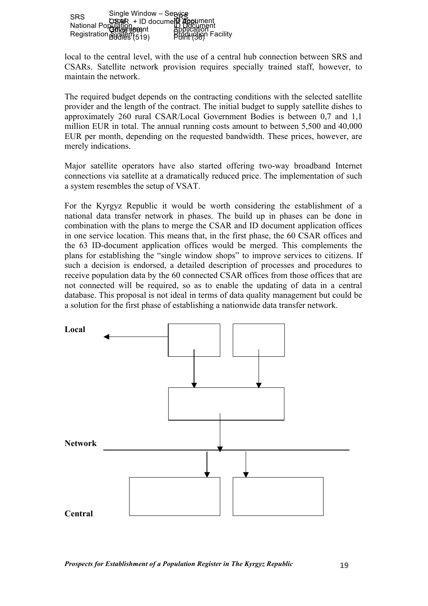|  | Single Window - Service<br>SRS CoseR + ID docume<br>National Popy and The CoseR Application<br>Registration Booker(519) Popy Popy Booker<br>Registration Booker(519) Popy Popy Pacility |
|--|-----------------------------------------------------------------------------------------------------------------------------------------------------------------------------------------|

local to the central level, with the use of a central hub connection between SRS and CSARs. Satellite network provision requires specially trained staff, however, to maintain the network.

The required budget depends on the contracting conditions with the selected satellite provider and the length of the contract. The initial budget to supply satellite dishes to approximately 260 rural CSAR/Local Government Bodies is between 0,7 and 1,1 million EUR in total. The annual running costs amount to between 5,500 and 40,000 EUR per month, depending on the requested bandwidth. These prices, however, are merely indications.

Major satellite operators have also started offering two-way broadband Internet connections via satellite at a dramatically reduced price. The implementation of such a system resembles the setup of VSAT.

For the Kyrgyz Republic it would be worth considering the establishment of a national data transfer network in phases. The build up in phases can be done in combination with the plans to merge the CSAR and ID document application offices in one service location. This means that, in the first phase, the 60 CSAR offices and the 63 ID-document application offices would be merged. This complements the plans for establishing the "single window shops" to improve services to citizens. If such a decision is endorsed, a detailed description of processes and procedures to receive population data by the 60 connected CSAR offices from those offices that are not connected will be required, so as to enable the updating of data in a central database. This proposal is not ideal in terms of data quality management but could be a solution for the first phase of establishing a nationwide data transfer network.

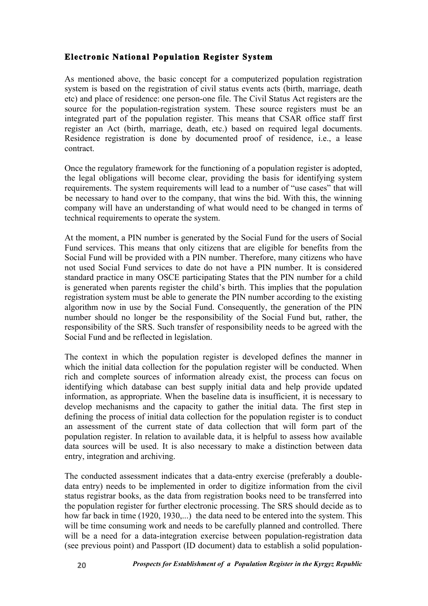## **Electronic National Population Register System**

As mentioned above, the basic concept for a computerized population registration system is based on the registration of civil status events acts (birth, marriage, death etc) and place of residence: one person-one file. The Civil Status Act registers are the source for the population-registration system. These source registers must be an integrated part of the population register. This means that CSAR office staff first register an Act (birth, marriage, death, etc.) based on required legal documents. Residence registration is done by documented proof of residence, i.e., a lease contract.

Once the regulatory framework for the functioning of a population register is adopted, the legal obligations will become clear, providing the basis for identifying system requirements. The system requirements will lead to a number of "use cases" that will be necessary to hand over to the company, that wins the bid. With this, the winning company will have an understanding of what would need to be changed in terms of technical requirements to operate the system.

At the moment, a PIN number is generated by the Social Fund for the users of Social Fund services. This means that only citizens that are eligible for benefits from the Social Fund will be provided with a PIN number. Therefore, many citizens who have not used Social Fund services to date do not have a PIN number. It is considered standard practice in many OSCE participating States that the PIN number for a child is generated when parents register the child's birth. This implies that the population registration system must be able to generate the PIN number according to the existing algorithm now in use by the Social Fund. Consequently, the generation of the PIN number should no longer be the responsibility of the Social Fund but, rather, the responsibility of the SRS. Such transfer of responsibility needs to be agreed with the Social Fund and be reflected in legislation.

The context in which the population register is developed defines the manner in which the initial data collection for the population register will be conducted. When rich and complete sources of information already exist, the process can focus on identifying which database can best supply initial data and help provide updated information, as appropriate. When the baseline data is insufficient, it is necessary to develop mechanisms and the capacity to gather the initial data. The first step in defining the process of initial data collection for the population register is to conduct an assessment of the current state of data collection that will form part of the population register. In relation to available data, it is helpful to assess how available data sources will be used. It is also necessary to make a distinction between data entry, integration and archiving.

The conducted assessment indicates that a data-entry exercise (preferably a doubledata entry) needs to be implemented in order to digitize information from the civil status registrar books, as the data from registration books need to be transferred into the population register for further electronic processing. The SRS should decide as to how far back in time (1920, 1930,...) the data need to be entered into the system. This will be time consuming work and needs to be carefully planned and controlled. There will be a need for a data-integration exercise between population-registration data (see previous point) and Passport (ID document) data to establish a solid population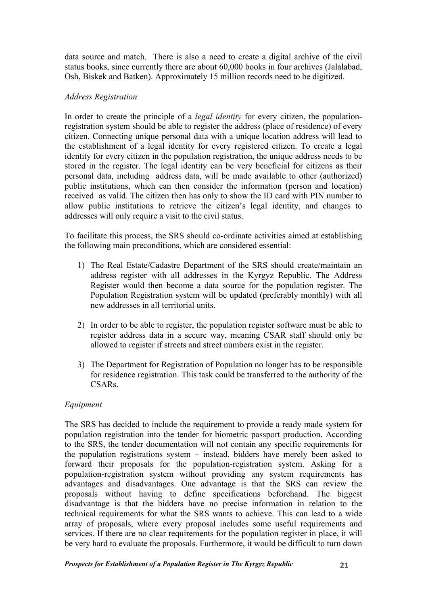data source and match. There is also a need to create a digital archive of the civil status books, since currently there are about 60,000 books in four archives (Jalalabad, Osh, Biskek and Batken). Approximately 15 million records need to be digitized.

#### *Address Registration*

In order to create the principle of a *legal identity* for every citizen, the populationregistration system should be able to register the address (place of residence) of every citizen. Connecting unique personal data with a unique location address will lead to the establishment of a legal identity for every registered citizen. To create a legal identity for every citizen in the population registration, the unique address needs to be stored in the register. The legal identity can be very beneficial for citizens as their personal data, including address data, will be made available to other (authorized) public institutions, which can then consider the information (person and location) received as valid. The citizen then has only to show the ID card with PIN number to allow public institutions to retrieve the citizen's legal identity, and changes to addresses will only require a visit to the civil status.

To facilitate this process, the SRS should co-ordinate activities aimed at establishing the following main preconditions, which are considered essential:

- 1) The Real Estate/Cadastre Department of the SRS should create/maintain an address register with all addresses in the Kyrgyz Republic. The Address Register would then become a data source for the population register. The Population Registration system will be updated (preferably monthly) with all new addresses in all territorial units.
- 2) In order to be able to register, the population register software must be able to register address data in a secure way, meaning CSAR staff should only be allowed to register if streets and street numbers exist in the register.
- 3) The Department for Registration of Population no longer has to be responsible for residence registration. This task could be transferred to the authority of the CSARs.

#### *Equipment*

The SRS has decided to include the requirement to provide a ready made system for population registration into the tender for biometric passport production. According to the SRS, the tender documentation will not contain any specific requirements for the population registrations system – instead, bidders have merely been asked to forward their proposals for the population-registration system. Asking for a population-registration system without providing any system requirements has advantages and disadvantages. One advantage is that the SRS can review the proposals without having to define specifications beforehand. The biggest disadvantage is that the bidders have no precise information in relation to the technical requirements for what the SRS wants to achieve. This can lead to a wide array of proposals, where every proposal includes some useful requirements and services. If there are no clear requirements for the population register in place, it will be very hard to evaluate the proposals. Furthermore, it would be difficult to turn down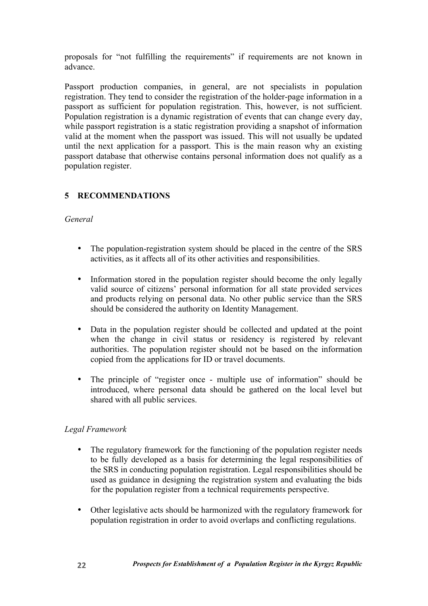proposals for "not fulfilling the requirements" if requirements are not known in advance.

Passport production companies, in general, are not specialists in population registration. They tend to consider the registration of the holder-page information in a passport as sufficient for population registration. This, however, is not sufficient. Population registration is a dynamic registration of events that can change every day, while passport registration is a static registration providing a snapshot of information valid at the moment when the passport was issued. This will not usually be updated until the next application for a passport. This is the main reason why an existing passport database that otherwise contains personal information does not qualify as a population register.

## **5 RECOMMENDATIONS**

#### *General*

- The population-registration system should be placed in the centre of the SRS activities, as it affects all of its other activities and responsibilities.
- Information stored in the population register should become the only legally valid source of citizens' personal information for all state provided services and products relying on personal data. No other public service than the SRS should be considered the authority on Identity Management.
- Data in the population register should be collected and updated at the point when the change in civil status or residency is registered by relevant authorities. The population register should not be based on the information copied from the applications for ID or travel documents.
- The principle of "register once multiple use of information" should be introduced, where personal data should be gathered on the local level but shared with all public services.

## *Legal Framework*

- The regulatory framework for the functioning of the population register needs to be fully developed as a basis for determining the legal responsibilities of the SRS in conducting population registration. Legal responsibilities should be used as guidance in designing the registration system and evaluating the bids for the population register from a technical requirements perspective.
- Other legislative acts should be harmonized with the regulatory framework for population registration in order to avoid overlaps and conflicting regulations.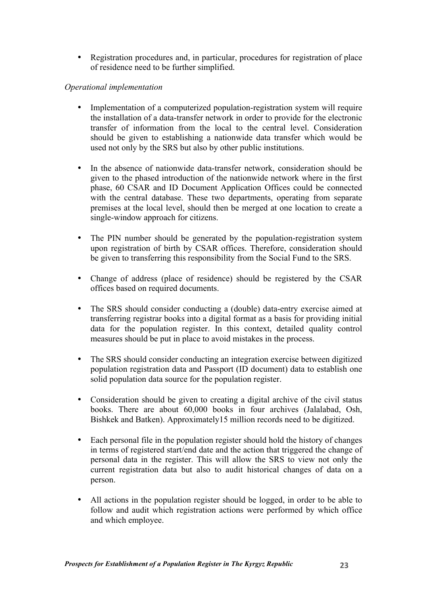• Registration procedures and, in particular, procedures for registration of place of residence need to be further simplified.

#### *Operational implementation*

- Implementation of a computerized population-registration system will require the installation of a data-transfer network in order to provide for the electronic transfer of information from the local to the central level. Consideration should be given to establishing a nationwide data transfer which would be used not only by the SRS but also by other public institutions.
- In the absence of nationwide data-transfer network, consideration should be given to the phased introduction of the nationwide network where in the first phase, 60 CSAR and ID Document Application Offices could be connected with the central database. These two departments, operating from separate premises at the local level, should then be merged at one location to create a single-window approach for citizens.
- The PIN number should be generated by the population-registration system upon registration of birth by CSAR offices. Therefore, consideration should be given to transferring this responsibility from the Social Fund to the SRS.
- Change of address (place of residence) should be registered by the CSAR offices based on required documents.
- The SRS should consider conducting a (double) data-entry exercise aimed at transferring registrar books into a digital format as a basis for providing initial data for the population register. In this context, detailed quality control measures should be put in place to avoid mistakes in the process.
- The SRS should consider conducting an integration exercise between digitized population registration data and Passport (ID document) data to establish one solid population data source for the population register.
- Consideration should be given to creating a digital archive of the civil status books. There are about 60,000 books in four archives (Jalalabad, Osh, Bishkek and Batken). Approximately15 million records need to be digitized.
- Each personal file in the population register should hold the history of changes in terms of registered start/end date and the action that triggered the change of personal data in the register. This will allow the SRS to view not only the current registration data but also to audit historical changes of data on a person.
- All actions in the population register should be logged, in order to be able to follow and audit which registration actions were performed by which office and which employee.